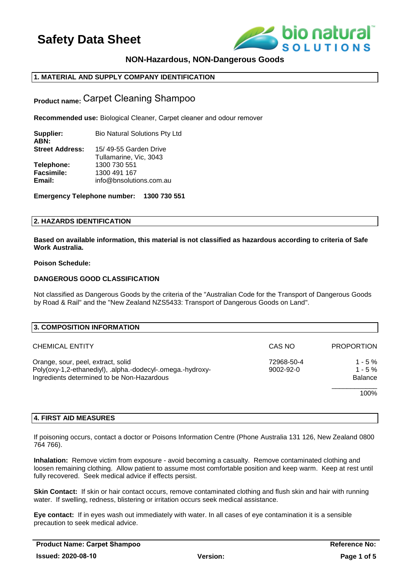

## **NON-Hazardous, NON-Dangerous Goods**

## **1. MATERIAL AND SUPPLY COMPANY IDENTIFICATION**

**Product name:** Carpet Cleaning Shampoo

**Recommended use:** Biological Cleaner, Carpet cleaner and odour remover

| Supplier:              | <b>Bio Natural Solutions Pty Ltd</b> |
|------------------------|--------------------------------------|
| ABN:                   |                                      |
| <b>Street Address:</b> | 15/49-55 Garden Drive                |
|                        | Tullamarine, Vic, 3043               |
| Telephone:             | 1300 730 551                         |
| Facsimile:             | 1300 491 167                         |
| Email:                 | info@bnsolutions.com.au              |
|                        |                                      |

**Emergency Telephone number: 1300 730 551**

## **2. HAZARDS IDENTIFICATION**

**Based on available information, this material is not classified as hazardous according to criteria of Safe Work Australia.** 

### **Poison Schedule:**

## **DANGEROUS GOOD CLASSIFICATION**

Not classified as Dangerous Goods by the criteria of the "Australian Code for the Transport of Dangerous Goods by Road & Rail" and the "New Zealand NZS5433: Transport of Dangerous Goods on Land".

| 3. COMPOSITION INFORMATION                                                                                                                     |                               |                                          |
|------------------------------------------------------------------------------------------------------------------------------------------------|-------------------------------|------------------------------------------|
| <b>CHEMICAL ENTITY</b>                                                                                                                         | CAS NO                        | <b>PROPORTION</b>                        |
| Orange, sour, peel, extract, solid<br>Poly(oxy-1,2-ethanediyl), .alpha.-dodecyl-.omega.-hydroxy-<br>Ingredients determined to be Non-Hazardous | 72968-50-4<br>$9002 - 92 - 0$ | $1 - 5 \%$<br>$1 - 5%$<br><b>Balance</b> |
|                                                                                                                                                |                               | 100%                                     |

## **4. FIRST AID MEASURES**

If poisoning occurs, contact a doctor or Poisons Information Centre (Phone Australia 131 126, New Zealand 0800 764 766).

**Inhalation:** Remove victim from exposure - avoid becoming a casualty. Remove contaminated clothing and loosen remaining clothing. Allow patient to assume most comfortable position and keep warm. Keep at rest until fully recovered. Seek medical advice if effects persist.

**Skin Contact:** If skin or hair contact occurs, remove contaminated clothing and flush skin and hair with running water. If swelling, redness, blistering or irritation occurs seek medical assistance.

**Eye contact:** If in eyes wash out immediately with water. In all cases of eye contamination it is a sensible precaution to seek medical advice.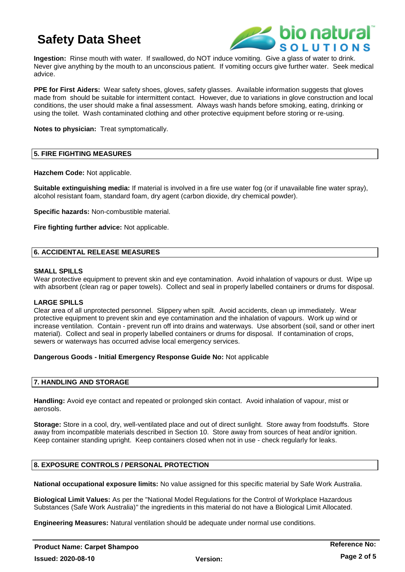

**Ingestion:** Rinse mouth with water. If swallowed, do NOT induce vomiting. Give a glass of water to drink. Never give anything by the mouth to an unconscious patient. If vomiting occurs give further water. Seek medical advice.

**PPE for First Aiders:** Wear safety shoes, gloves, safety glasses. Available information suggests that gloves made from should be suitable for intermittent contact. However, due to variations in glove construction and local conditions, the user should make a final assessment. Always wash hands before smoking, eating, drinking or using the toilet. Wash contaminated clothing and other protective equipment before storing or re-using.

**Notes to physician:** Treat symptomatically.

## **5. FIRE FIGHTING MEASURES**

**Hazchem Code:** Not applicable.

**Suitable extinguishing media:** If material is involved in a fire use water fog (or if unavailable fine water spray), alcohol resistant foam, standard foam, dry agent (carbon dioxide, dry chemical powder).

**Specific hazards:** Non-combustible material.

**Fire fighting further advice:** Not applicable.

## **6. ACCIDENTAL RELEASE MEASURES**

#### **SMALL SPILLS**

Wear protective equipment to prevent skin and eye contamination. Avoid inhalation of vapours or dust. Wipe up with absorbent (clean rag or paper towels). Collect and seal in properly labelled containers or drums for disposal.

#### **LARGE SPILLS**

Clear area of all unprotected personnel. Slippery when spilt. Avoid accidents, clean up immediately. Wear protective equipment to prevent skin and eye contamination and the inhalation of vapours. Work up wind or increase ventilation. Contain - prevent run off into drains and waterways. Use absorbent (soil, sand or other inert material). Collect and seal in properly labelled containers or drums for disposal. If contamination of crops, sewers or waterways has occurred advise local emergency services.

#### **Dangerous Goods - Initial Emergency Response Guide No:** Not applicable

## **7. HANDLING AND STORAGE**

**Handling:** Avoid eye contact and repeated or prolonged skin contact. Avoid inhalation of vapour, mist or aerosols.

**Storage:** Store in a cool, dry, well-ventilated place and out of direct sunlight. Store away from foodstuffs. Store away from incompatible materials described in Section 10. Store away from sources of heat and/or ignition. Keep container standing upright. Keep containers closed when not in use - check regularly for leaks.

## **8. EXPOSURE CONTROLS / PERSONAL PROTECTION**

**National occupational exposure limits:** No value assigned for this specific material by Safe Work Australia.

**Biological Limit Values:** As per the "National Model Regulations for the Control of Workplace Hazardous Substances (Safe Work Australia)" the ingredients in this material do not have a Biological Limit Allocated.

**Engineering Measures:** Natural ventilation should be adequate under normal use conditions.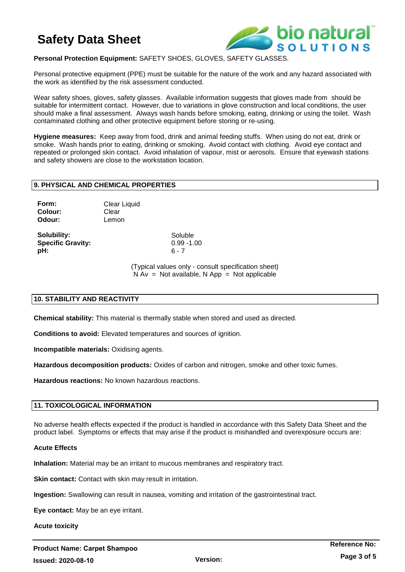

## **Personal Protection Equipment:** SAFETY SHOES, GLOVES, SAFETY GLASSES.

Personal protective equipment (PPE) must be suitable for the nature of the work and any hazard associated with the work as identified by the risk assessment conducted.

Wear safety shoes, gloves, safety glasses. Available information suggests that gloves made from should be suitable for intermittent contact. However, due to variations in glove construction and local conditions, the user should make a final assessment. Always wash hands before smoking, eating, drinking or using the toilet. Wash contaminated clothing and other protective equipment before storing or re-using.

**Hygiene measures:** Keep away from food, drink and animal feeding stuffs. When using do not eat, drink or smoke. Wash hands prior to eating, drinking or smoking. Avoid contact with clothing. Avoid eye contact and repeated or prolonged skin contact. Avoid inhalation of vapour, mist or aerosols. Ensure that eyewash stations and safety showers are close to the workstation location.

## **9. PHYSICAL AND CHEMICAL PROPERTIES**

**Form:** Clear Liquid **Colour:** Clear **Odour:** Lemon

**Solubility:** Soluble **Specific Gravity:** 0.99 -1.00 **pH:** 6 - 7

(Typical values only - consult specification sheet)  $N Av = Not available, N App = Not applicable$ 

## **10. STABILITY AND REACTIVITY**

**Chemical stability:** This material is thermally stable when stored and used as directed.

**Conditions to avoid:** Elevated temperatures and sources of ignition.

**Incompatible materials:** Oxidising agents.

**Hazardous decomposition products:** Oxides of carbon and nitrogen, smoke and other toxic fumes.

**Hazardous reactions:** No known hazardous reactions.

## **11. TOXICOLOGICAL INFORMATION**

No adverse health effects expected if the product is handled in accordance with this Safety Data Sheet and the product label. Symptoms or effects that may arise if the product is mishandled and overexposure occurs are:

**Version:** 

#### **Acute Effects**

**Inhalation:** Material may be an irritant to mucous membranes and respiratory tract.

**Skin contact:** Contact with skin may result in irritation.

**Ingestion:** Swallowing can result in nausea, vomiting and irritation of the gastrointestinal tract.

**Eye contact:** May be an eye irritant.

**Acute toxicity**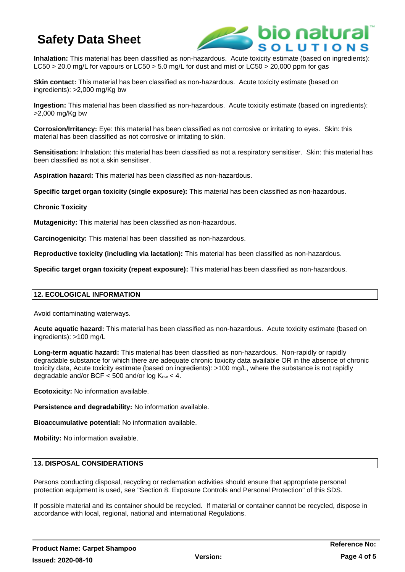

**Inhalation:** This material has been classified as non-hazardous. Acute toxicity estimate (based on ingredients): LC50 > 20.0 mg/L for vapours or LC50 > 5.0 mg/L for dust and mist or LC50 > 20,000 ppm for gas

**Skin contact:** This material has been classified as non-hazardous. Acute toxicity estimate (based on ingredients): >2,000 mg/Kg bw

**Ingestion:** This material has been classified as non-hazardous. Acute toxicity estimate (based on ingredients): >2,000 mg/Kg bw

**Corrosion/Irritancy:** Eye: this material has been classified as not corrosive or irritating to eyes. Skin: this material has been classified as not corrosive or irritating to skin.

**Sensitisation:** Inhalation: this material has been classified as not a respiratory sensitiser. Skin: this material has been classified as not a skin sensitiser.

**Aspiration hazard:** This material has been classified as non-hazardous.

**Specific target organ toxicity (single exposure):** This material has been classified as non-hazardous.

## **Chronic Toxicity**

**Mutagenicity:** This material has been classified as non-hazardous.

**Carcinogenicity:** This material has been classified as non-hazardous.

**Reproductive toxicity (including via lactation):** This material has been classified as non-hazardous.

**Specific target organ toxicity (repeat exposure):** This material has been classified as non-hazardous.

## **12. ECOLOGICAL INFORMATION**

Avoid contaminating waterways.

**Acute aquatic hazard:** This material has been classified as non-hazardous. Acute toxicity estimate (based on ingredients): >100 mg/L

**Long-term aquatic hazard:** This material has been classified as non-hazardous. Non-rapidly or rapidly degradable substance for which there are adequate chronic toxicity data available OR in the absence of chronic toxicity data, Acute toxicity estimate (based on ingredients): >100 mg/L, where the substance is not rapidly degradable and/or BCF  $<$  500 and/or log  $K_{ow}$   $<$  4.

**Ecotoxicity:** No information available.

**Persistence and degradability:** No information available.

**Bioaccumulative potential:** No information available.

**Mobility:** No information available.

## **13. DISPOSAL CONSIDERATIONS**

Persons conducting disposal, recycling or reclamation activities should ensure that appropriate personal protection equipment is used, see "Section 8. Exposure Controls and Personal Protection" of this SDS.

If possible material and its container should be recycled. If material or container cannot be recycled, dispose in accordance with local, regional, national and international Regulations.